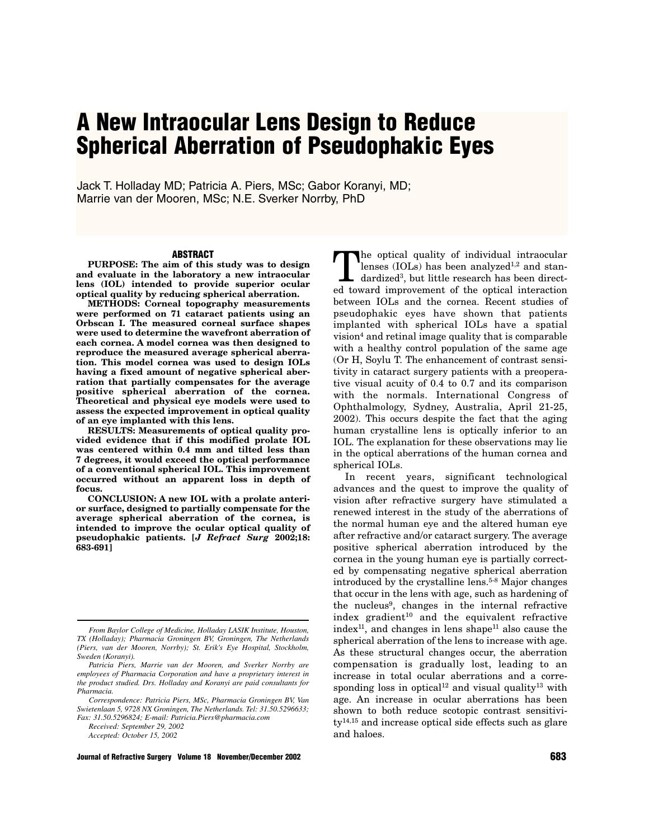# **A New Intraocular Lens Design to Reduce Spherical Aberration of Pseudophakic Eyes**

Jack T. Holladay MD; Patricia A. Piers, MSc; Gabor Koranyi, MD; Marrie van der Mooren, MSc; N.E. Sverker Norrby, PhD

#### **ABSTRACT**

**PURPOSE: The aim of this study was to design and evaluate in the laboratory a new intraocular lens (IOL) intended to provide superior ocular optical quality by reducing spherical aberration.**

**METHODS: Corneal topography measurements were performed on 71 cataract patients using an Orbscan I. The measured corneal surface shapes were used to determine the wavefront aberration of each cornea. A model cornea was then designed to reproduce the measured average spherical aberration. This model cornea was used to design IOLs having a fixed amount of negative spherical aberration that partially compensates for the average positive spherical aberration of the cornea. Theoretical and physical eye models were used to assess the expected improvement in optical quality of an eye implanted with this lens.** 

**RESULTS: Measurements of optical quality provided evidence that if this modified prolate IOL was centered within 0.4 mm and tilted less than 7 degrees, it would exceed the optical performance of a conventional spherical IOL. This improvement occurred without an apparent loss in depth of focus.**

**CONCLUSION: A new IOL with a prolate anterior surface, designed to partially compensate for the average spherical aberration of the cornea, is intended to improve the ocular optical quality of pseudophakic patients. [***J Refract Surg* **2002;18: 683-691]**

*Received: September 29, 2002*

*Accepted: October 15, 2002*

**Journal of Refractive Surgery Volume 18 November/December 2002 683**

The optical quality of individual intraocular lenses (IOLs) has been analyzed $1,2$  and standardized3, but little research has been directed toward improvement of the optical interaction between IOLs and the cornea. Recent studies of pseudophakic eyes have shown that patients implanted with spherical IOLs have a spatial vision4 and retinal image quality that is comparable with a healthy control population of the same age (Or H, Soylu T. The enhancement of contrast sensitivity in cataract surgery patients with a preoperative visual acuity of 0.4 to 0.7 and its comparison with the normals. International Congress of Ophthalmology, Sydney, Australia, April 21-25, 2002). This occurs despite the fact that the aging human crystalline lens is optically inferior to an IOL. The explanation for these observations may lie in the optical aberrations of the human cornea and spherical IOLs.

In recent years, significant technological advances and the quest to improve the quality of vision after refractive surgery have stimulated a renewed interest in the study of the aberrations of the normal human eye and the altered human eye after refractive and/or cataract surgery. The average positive spherical aberration introduced by the cornea in the young human eye is partially corrected by compensating negative spherical aberration introduced by the crystalline lens.<sup>5-8</sup> Major changes that occur in the lens with age, such as hardening of the nucleus9, changes in the internal refractive index gradient $10$  and the equivalent refractive  $index<sup>11</sup>$ , and changes in lens shape<sup>11</sup> also cause the spherical aberration of the lens to increase with age. As these structural changes occur, the aberration compensation is gradually lost, leading to an increase in total ocular aberrations and a corresponding loss in optical<sup>12</sup> and visual quality<sup>13</sup> with age. An increase in ocular aberrations has been shown to both reduce scotopic contrast sensitivity14,15 and increase optical side effects such as glare and haloes.

*From Baylor College of Medicine, Holladay LASIK Institute, Houston, TX (Holladay); Pharmacia Groningen BV, Groningen, The Netherlands (Piers, van der Mooren, Norrby); St. Erik's Eye Hospital, Stockholm, Sweden (Koranyi).*

*Patricia Piers, Marrie van der Mooren, and Sverker Norrby are employees of Pharmacia Corporation and have a proprietary interest in the product studied. Drs. Holladay and Koranyi are paid consultants for Pharmacia.*

*Correspondence: Patricia Piers, MSc, Pharmacia Groningen BV, Van Swietenlaan 5, 9728 NX Groningen, The Netherlands. Tel: 31.50.5296633; Fax: 31.50.5296824; E-mail: Patricia.Piers@pharmacia.com*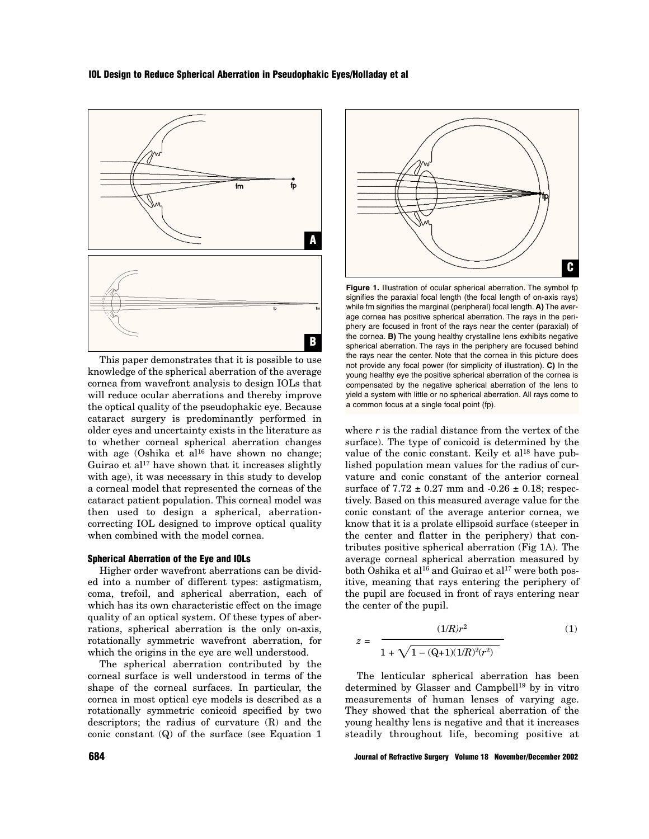# **IOL Design to Reduce Spherical Aberration in Pseudophakic Eyes/Holladay et al**



This paper demonstrates that it is possible to use knowledge of the spherical aberration of the average cornea from wavefront analysis to design IOLs that will reduce ocular aberrations and thereby improve the optical quality of the pseudophakic eye. Because cataract surgery is predominantly performed in older eyes and uncertainty exists in the literature as to whether corneal spherical aberration changes with age (Oshika et al<sup>16</sup> have shown no change; Guirao et al<sup>17</sup> have shown that it increases slightly with age), it was necessary in this study to develop a corneal model that represented the corneas of the cataract patient population. This corneal model was then used to design a spherical, aberrationcorrecting IOL designed to improve optical quality when combined with the model cornea.

#### **Spherical Aberration of the Eye and IOLs**

Higher order wavefront aberrations can be divided into a number of different types: astigmatism, coma, trefoil, and spherical aberration, each of which has its own characteristic effect on the image quality of an optical system. Of these types of aberrations, spherical aberration is the only on-axis, rotationally symmetric wavefront aberration, for which the origins in the eye are well understood.

The spherical aberration contributed by the corneal surface is well understood in terms of the shape of the corneal surfaces. In particular, the cornea in most optical eye models is described as a rotationally symmetric conicoid specified by two descriptors; the radius of curvature (R) and the conic constant (Q) of the surface (see Equation 1



**Figure 1.** Illustration of ocular spherical aberration. The symbol fp signifies the paraxial focal length (the focal length of on-axis rays) while fm signifies the marginal (peripheral) focal length. **A)** The average cornea has positive spherical aberration. The rays in the periphery are focused in front of the rays near the center (paraxial) of the cornea. **B)** The young healthy crystalline lens exhibits negative spherical aberration. The rays in the periphery are focused behind the rays near the center. Note that the cornea in this picture does not provide any focal power (for simplicity of illustration). **C)** In the young healthy eye the positive spherical aberration of the cornea is compensated by the negative spherical aberration of the lens to yield a system with little or no spherical aberration. All rays come to a common focus at a single focal point (fp).

where  $r$  is the radial distance from the vertex of the surface). The type of conicoid is determined by the value of the conic constant. Keily et al<sup>18</sup> have published population mean values for the radius of curvature and conic constant of the anterior corneal surface of  $7.72 \pm 0.27$  mm and  $-0.26 \pm 0.18$ ; respectively. Based on this measured average value for the conic constant of the average anterior cornea, we know that it is a prolate ellipsoid surface (steeper in the center and flatter in the periphery) that contributes positive spherical aberration (Fig 1A). The average corneal spherical aberration measured by both Oshika et al<sup>16</sup> and Guirao et al<sup>17</sup> were both positive, meaning that rays entering the periphery of the pupil are focused in front of rays entering near the center of the pupil.

$$
z = \frac{(1/R)r^2}{1 + \sqrt{1 - (Q+1)(1/R)^2(r^2)}}
$$
(1)

The lenticular spherical aberration has been determined by Glasser and Campbell<sup>19</sup> by in vitro measurements of human lenses of varying age. They showed that the spherical aberration of the young healthy lens is negative and that it increases steadily throughout life, becoming positive at

**684 Journal of Refractive Surgery Volume 18 November/December 2002**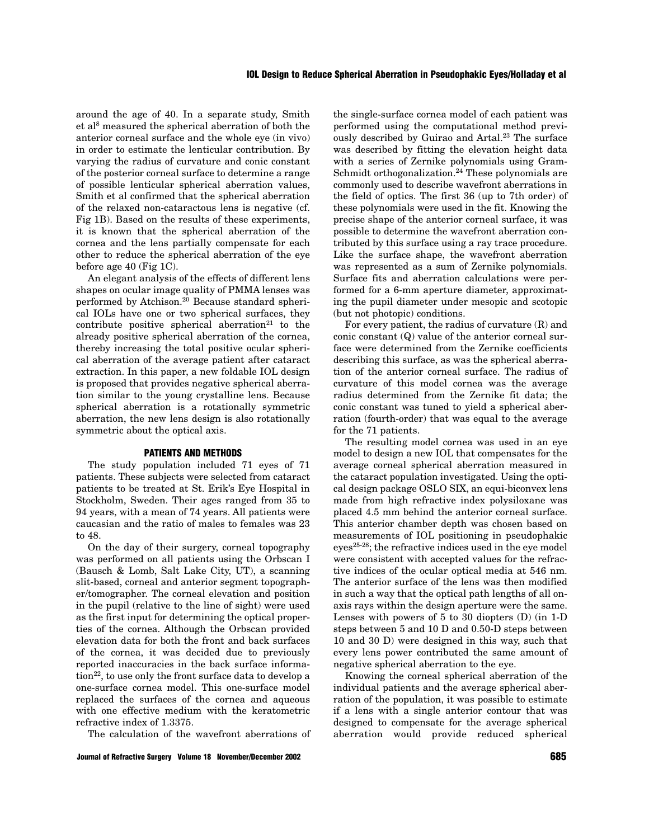around the age of 40. In a separate study, Smith et al8 measured the spherical aberration of both the anterior corneal surface and the whole eye (in vivo) in order to estimate the lenticular contribution. By varying the radius of curvature and conic constant of the posterior corneal surface to determine a range of possible lenticular spherical aberration values, Smith et al confirmed that the spherical aberration of the relaxed non-cataractous lens is negative (cf. Fig 1B). Based on the results of these experiments, it is known that the spherical aberration of the cornea and the lens partially compensate for each other to reduce the spherical aberration of the eye before age 40 (Fig 1C).

An elegant analysis of the effects of different lens shapes on ocular image quality of PMMA lenses was performed by Atchison.20 Because standard spherical IOLs have one or two spherical surfaces, they contribute positive spherical aberration<sup>21</sup> to the already positive spherical aberration of the cornea, thereby increasing the total positive ocular spherical aberration of the average patient after cataract extraction. In this paper, a new foldable IOL design is proposed that provides negative spherical aberration similar to the young crystalline lens. Because spherical aberration is a rotationally symmetric aberration, the new lens design is also rotationally symmetric about the optical axis.

#### **PATIENTS AND METHODS**

The study population included 71 eyes of 71 patients. These subjects were selected from cataract patients to be treated at St. Erik's Eye Hospital in Stockholm, Sweden. Their ages ranged from 35 to 94 years, with a mean of 74 years. All patients were caucasian and the ratio of males to females was 23 to 48.

On the day of their surgery, corneal topography was performed on all patients using the Orbscan I (Bausch & Lomb, Salt Lake City, UT), a scanning slit-based, corneal and anterior segment topographer/tomographer. The corneal elevation and position in the pupil (relative to the line of sight) were used as the first input for determining the optical properties of the cornea. Although the Orbscan provided elevation data for both the front and back surfaces of the cornea, it was decided due to previously reported inaccuracies in the back surface information<sup>22</sup>, to use only the front surface data to develop a one-surface cornea model. This one-surface model replaced the surfaces of the cornea and aqueous with one effective medium with the keratometric refractive index of 1.3375.

The calculation of the wavefront aberrations of

**Journal of Refractive Surgery Volume 18 November/December 2002 685**

the single-surface cornea model of each patient was performed using the computational method previously described by Guirao and Artal.<sup>23</sup> The surface was described by fitting the elevation height data with a series of Zernike polynomials using Gram-Schmidt orthogonalization.<sup>24</sup> These polynomials are commonly used to describe wavefront aberrations in the field of optics. The first 36 (up to 7th order) of these polynomials were used in the fit. Knowing the precise shape of the anterior corneal surface, it was possible to determine the wavefront aberration contributed by this surface using a ray trace procedure. Like the surface shape, the wavefront aberration was represented as a sum of Zernike polynomials. Surface fits and aberration calculations were performed for a 6-mm aperture diameter, approximating the pupil diameter under mesopic and scotopic (but not photopic) conditions.

For every patient, the radius of curvature (R) and conic constant (Q) value of the anterior corneal surface were determined from the Zernike coefficients describing this surface, as was the spherical aberration of the anterior corneal surface. The radius of curvature of this model cornea was the average radius determined from the Zernike fit data; the conic constant was tuned to yield a spherical aberration (fourth-order) that was equal to the average for the 71 patients.

The resulting model cornea was used in an eye model to design a new IOL that compensates for the average corneal spherical aberration measured in the cataract population investigated. Using the optical design package OSLO SIX, an equi-biconvex lens made from high refractive index polysiloxane was placed 4.5 mm behind the anterior corneal surface. This anterior chamber depth was chosen based on measurements of IOL positioning in pseudophakic eyes25-28; the refractive indices used in the eye model were consistent with accepted values for the refractive indices of the ocular optical media at 546 nm. The anterior surface of the lens was then modified in such a way that the optical path lengths of all onaxis rays within the design aperture were the same. Lenses with powers of 5 to 30 diopters (D) (in 1-D steps between 5 and 10 D and 0.50-D steps between 10 and 30 D) were designed in this way, such that every lens power contributed the same amount of negative spherical aberration to the eye.

Knowing the corneal spherical aberration of the individual patients and the average spherical aberration of the population, it was possible to estimate if a lens with a single anterior contour that was designed to compensate for the average spherical aberration would provide reduced spherical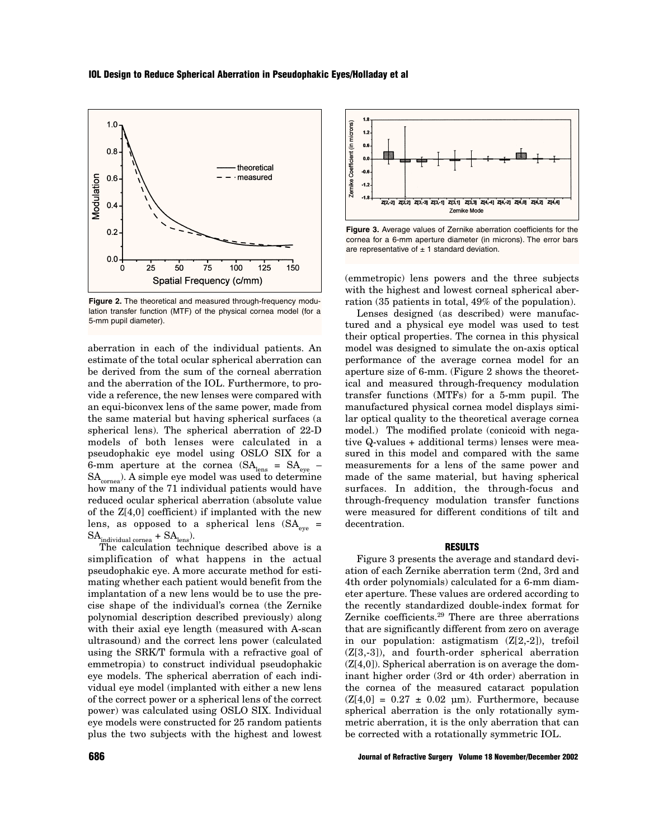### **IOL Design to Reduce Spherical Aberration in Pseudophakic Eyes/Holladay et al**



**Figure 2.** The theoretical and measured through-frequency modulation transfer function (MTF) of the physical cornea model (for a 5-mm pupil diameter).

aberration in each of the individual patients. An estimate of the total ocular spherical aberration can be derived from the sum of the corneal aberration and the aberration of the IOL. Furthermore, to provide a reference, the new lenses were compared with an equi-biconvex lens of the same power, made from the same material but having spherical surfaces (a spherical lens). The spherical aberration of 22-D models of both lenses were calculated in a pseudophakic eye model using OSLO SIX for a 6-mm aperture at the cornea  $(SA<sub>lens</sub> = SA<sub>eve</sub>$  –  $SA<sub>cornea</sub>$ ). A simple eye model was used to determine how many of the 71 individual patients would have reduced ocular spherical aberration (absolute value of the Z[4,0] coefficient) if implanted with the new lens, as opposed to a spherical lens  $(SA_{eve} =$  $\mathrm{SA}_{\mathrm{individual\ cornea}} + \mathrm{SA}_{\mathrm{lens}}).$ 

The calculation technique described above is a simplification of what happens in the actual pseudophakic eye. A more accurate method for estimating whether each patient would benefit from the implantation of a new lens would be to use the precise shape of the individual's cornea (the Zernike polynomial description described previously) along with their axial eye length (measured with A-scan ultrasound) and the correct lens power (calculated using the SRK/T formula with a refractive goal of emmetropia) to construct individual pseudophakic eye models. The spherical aberration of each individual eye model (implanted with either a new lens of the correct power or a spherical lens of the correct power) was calculated using OSLO SIX. Individual eye models were constructed for 25 random patients plus the two subjects with the highest and lowest



**Figure 3.** Average values of Zernike aberration coefficients for the cornea for a 6-mm aperture diameter (in microns). The error bars are representative of  $\pm$  1 standard deviation.

(emmetropic) lens powers and the three subjects with the highest and lowest corneal spherical aberration (35 patients in total, 49% of the population).

Lenses designed (as described) were manufactured and a physical eye model was used to test their optical properties. The cornea in this physical model was designed to simulate the on-axis optical performance of the average cornea model for an aperture size of 6-mm. (Figure 2 shows the theoretical and measured through-frequency modulation transfer functions (MTFs) for a 5-mm pupil. The manufactured physical cornea model displays similar optical quality to the theoretical average cornea model.) The modified prolate (conicoid with negative Q-values + additional terms) lenses were measured in this model and compared with the same measurements for a lens of the same power and made of the same material, but having spherical surfaces. In addition, the through-focus and through-frequency modulation transfer functions were measured for different conditions of tilt and decentration.

# **RESULTS**

Figure 3 presents the average and standard deviation of each Zernike aberration term (2nd, 3rd and 4th order polynomials) calculated for a 6-mm diameter aperture. These values are ordered according to the recently standardized double-index format for Zernike coefficients.29 There are three aberrations that are significantly different from zero on average in our population: astigmatism (Z[2,-2]), trefoil (Z[3,-3]), and fourth-order spherical aberration (Z[4,0]). Spherical aberration is on average the dominant higher order (3rd or 4th order) aberration in the cornea of the measured cataract population  $(Z[4,0] = 0.27 \pm 0.02 \text{ µm})$ . Furthermore, because spherical aberration is the only rotationally symmetric aberration, it is the only aberration that can be corrected with a rotationally symmetric IOL.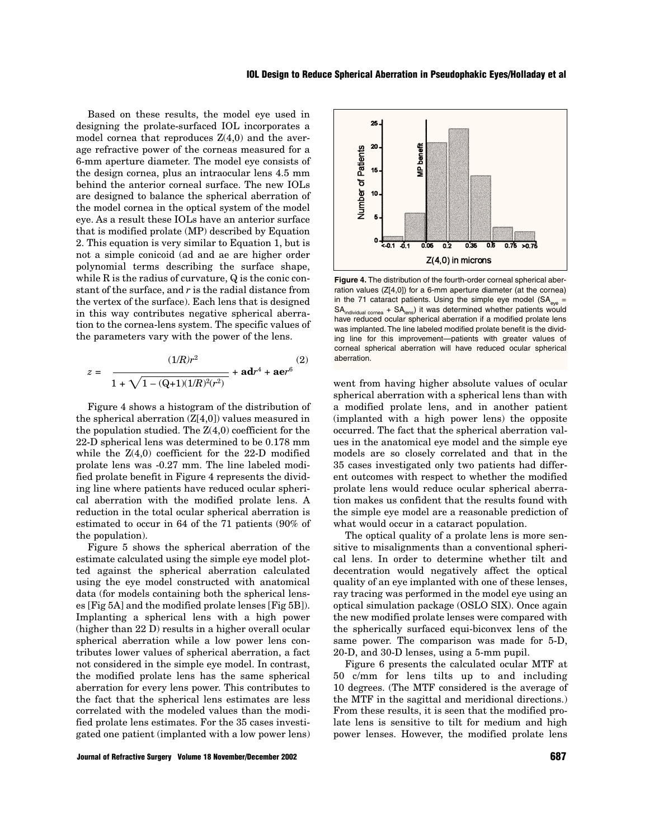Based on these results, the model eye used in designing the prolate-surfaced IOL incorporates a model cornea that reproduces  $Z(4,0)$  and the average refractive power of the corneas measured for a 6-mm aperture diameter. The model eye consists of the design cornea, plus an intraocular lens 4.5 mm behind the anterior corneal surface. The new IOLs are designed to balance the spherical aberration of the model cornea in the optical system of the model eye. As a result these IOLs have an anterior surface that is modified prolate (MP) described by Equation 2. This equation is very similar to Equation 1, but is not a simple conicoid (ad and ae are higher order polynomial terms describing the surface shape, while  $R$  is the radius of curvature,  $Q$  is the conic constant of the surface, and *r* is the radial distance from the vertex of the surface). Each lens that is designed in this way contributes negative spherical aberration to the cornea-lens system. The specific values of the parameters vary with the power of the lens.

$$
z = \frac{(1/R)r^2}{1 + \sqrt{1 - (Q+1)(1/R)^2(r^2)}} + \mathbf{ad}r^4 + \mathbf{a}\mathbf{e}r^6} (2)
$$

Figure 4 shows a histogram of the distribution of the spherical aberration  $(Z[4,0])$  values measured in the population studied. The  $Z(4,0)$  coefficient for the 22-D spherical lens was determined to be 0.178 mm while the Z(4,0) coefficient for the 22-D modified prolate lens was -0.27 mm. The line labeled modified prolate benefit in Figure 4 represents the dividing line where patients have reduced ocular spherical aberration with the modified prolate lens. A reduction in the total ocular spherical aberration is estimated to occur in 64 of the 71 patients (90% of the population).

Figure 5 shows the spherical aberration of the estimate calculated using the simple eye model plotted against the spherical aberration calculated using the eye model constructed with anatomical data (for models containing both the spherical lenses [Fig 5A] and the modified prolate lenses [Fig 5B]). Implanting a spherical lens with a high power (higher than 22 D) results in a higher overall ocular spherical aberration while a low power lens contributes lower values of spherical aberration, a fact not considered in the simple eye model. In contrast, the modified prolate lens has the same spherical aberration for every lens power. This contributes to the fact that the spherical lens estimates are less correlated with the modeled values than the modified prolate lens estimates. For the 35 cases investigated one patient (implanted with a low power lens)



**Figure 4.** The distribution of the fourth-order corneal spherical aberration values (Z[4,0]) for a 6-mm aperture diameter (at the cornea) in the 71 cataract patients. Using the simple eye model ( $SA_{\text{ave}} =$  $SA<sub>individual cornea</sub> + SA<sub>lens</sub>$  it was determined whether patients would have reduced ocular spherical aberration if a modified prolate lens was implanted. The line labeled modified prolate benefit is the dividing line for this improvement—patients with greater values of corneal spherical aberration will have reduced ocular spherical aberration.

went from having higher absolute values of ocular spherical aberration with a spherical lens than with a modified prolate lens, and in another patient (implanted with a high power lens) the opposite occurred. The fact that the spherical aberration values in the anatomical eye model and the simple eye models are so closely correlated and that in the 35 cases investigated only two patients had different outcomes with respect to whether the modified prolate lens would reduce ocular spherical aberration makes us confident that the results found with the simple eye model are a reasonable prediction of what would occur in a cataract population.

The optical quality of a prolate lens is more sensitive to misalignments than a conventional spherical lens. In order to determine whether tilt and decentration would negatively affect the optical quality of an eye implanted with one of these lenses, ray tracing was performed in the model eye using an optical simulation package (OSLO SIX). Once again the new modified prolate lenses were compared with the spherically surfaced equi-biconvex lens of the same power. The comparison was made for 5-D, 20-D, and 30-D lenses, using a 5-mm pupil.

Figure 6 presents the calculated ocular MTF at 50 c/mm for lens tilts up to and including 10 degrees. (The MTF considered is the average of the MTF in the sagittal and meridional directions.) From these results, it is seen that the modified prolate lens is sensitive to tilt for medium and high power lenses. However, the modified prolate lens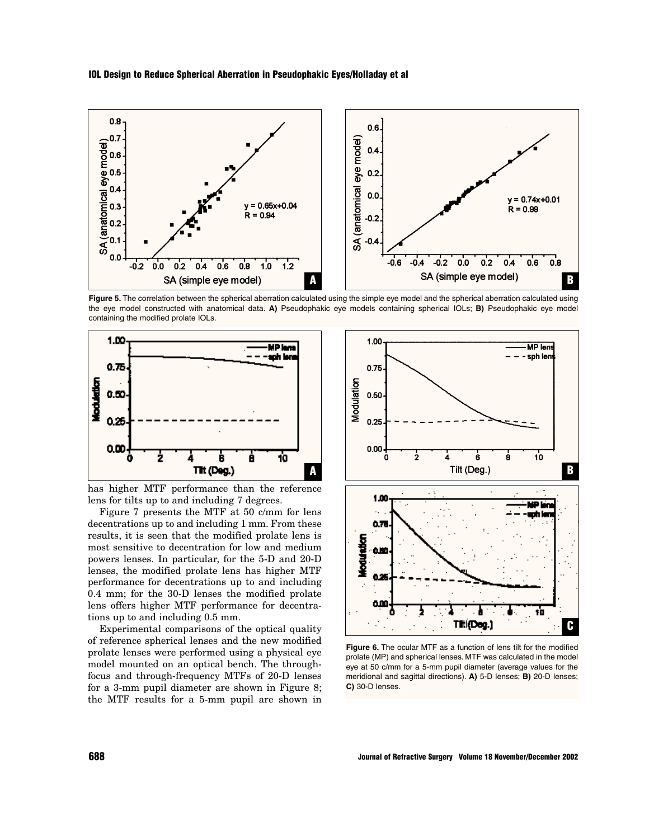**IOL Design to Reduce Spherical Aberration in Pseudophakic Eyes/Holladay et al**



Figure 5. The correlation between the spherical aberration calculated using the simple eye model and the spherical aberration calculated using the eye model constructed with anatomical data. **A)** Pseudophakic eye models containing spherical IOLs; **B)** Pseudophakic eye model containing the modified prolate IOLs.



has higher MTF performance than the reference lens for tilts up to and including 7 degrees.

Figure 7 presents the MTF at 50 c/mm for lens decentrations up to and including 1 mm. From these results, it is seen that the modified prolate lens is most sensitive to decentration for low and medium powers lenses. In particular, for the 5-D and 20-D lenses, the modified prolate lens has higher MTF performance for decentrations up to and including 0.4 mm; for the 30-D lenses the modified prolate lens offers higher MTF performance for decentrations up to and including 0.5 mm.

Experimental comparisons of the optical quality of reference spherical lenses and the new modified prolate lenses were performed using a physical eye model mounted on an optical bench. The throughfocus and through-frequency MTFs of 20-D lenses for a 3-mm pupil diameter are shown in Figure 8; the MTF results for a 5-mm pupil are shown in



**Figure 6.** The ocular MTF as a function of lens tilt for the modified prolate (MP) and spherical lenses. MTF was calculated in the model eye at 50 c/mm for a 5-mm pupil diameter (average values for the meridional and sagittal directions). **A)** 5-D lenses; **B)** 20-D lenses; **C)** 30-D lenses.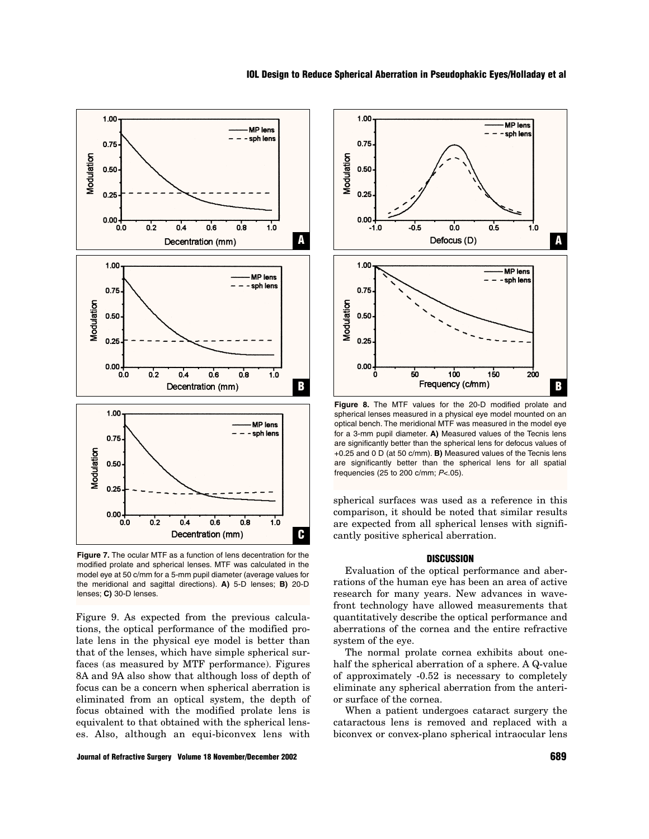

**Figure 7.** The ocular MTF as a function of lens decentration for the modified prolate and spherical lenses. MTF was calculated in the model eye at 50 c/mm for a 5-mm pupil diameter (average values for the meridional and sagittal directions). **A)** 5-D lenses; **B)** 20-D lenses; **C)** 30-D lenses.

Figure 9. As expected from the previous calculations, the optical performance of the modified prolate lens in the physical eye model is better than that of the lenses, which have simple spherical surfaces (as measured by MTF performance). Figures 8A and 9A also show that although loss of depth of focus can be a concern when spherical aberration is eliminated from an optical system, the depth of focus obtained with the modified prolate lens is equivalent to that obtained with the spherical lenses. Also, although an equi-biconvex lens with





**Figure 8.** The MTF values for the 20-D modified prolate and spherical lenses measured in a physical eye model mounted on an optical bench. The meridional MTF was measured in the model eye for a 3-mm pupil diameter. **A)** Measured values of the Tecnis lens are significantly better than the spherical lens for defocus values of +0.25 and 0 D (at 50 c/mm). **B)** Measured values of the Tecnis lens are significantly better than the spherical lens for all spatial frequencies (25 to 200 c/mm; P<.05).

spherical surfaces was used as a reference in this comparison, it should be noted that similar results are expected from all spherical lenses with significantly positive spherical aberration.

#### **DISCUSSION**

Evaluation of the optical performance and aberrations of the human eye has been an area of active research for many years. New advances in wavefront technology have allowed measurements that quantitatively describe the optical performance and aberrations of the cornea and the entire refractive system of the eye.

The normal prolate cornea exhibits about onehalf the spherical aberration of a sphere. A Q-value of approximately -0.52 is necessary to completely eliminate any spherical aberration from the anterior surface of the cornea.

When a patient undergoes cataract surgery the cataractous lens is removed and replaced with a biconvex or convex-plano spherical intraocular lens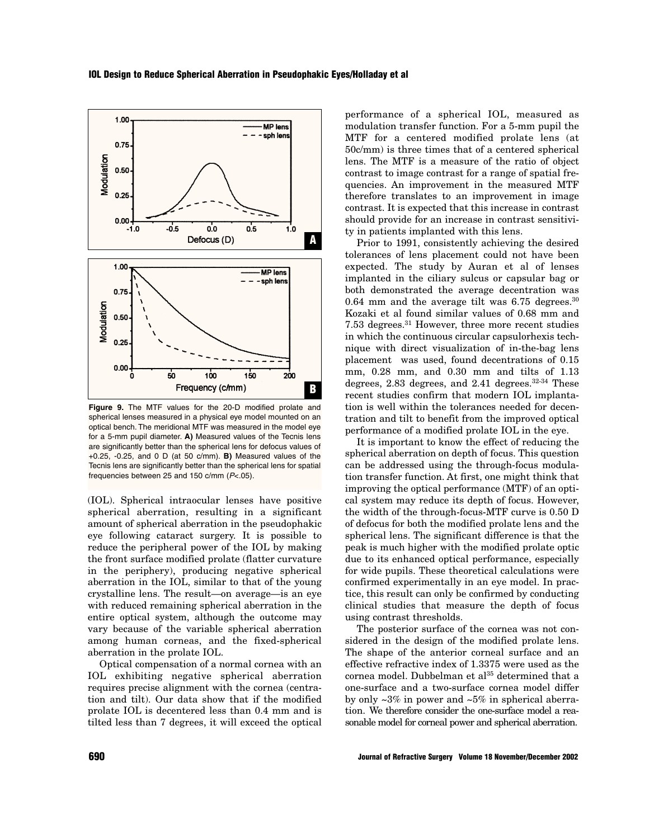

**Figure 9.** The MTF values for the 20-D modified prolate and spherical lenses measured in a physical eye model mounted on an optical bench. The meridional MTF was measured in the model eye for a 5-mm pupil diameter. **A)** Measured values of the Tecnis lens are significantly better than the spherical lens for defocus values of +0.25, -0.25, and 0 D (at 50 c/mm). **B)** Measured values of the Tecnis lens are significantly better than the spherical lens for spatial frequencies between 25 and 150 c/mm (P<.05).

(IOL). Spherical intraocular lenses have positive spherical aberration, resulting in a significant amount of spherical aberration in the pseudophakic eye following cataract surgery. It is possible to reduce the peripheral power of the IOL by making the front surface modified prolate (flatter curvature in the periphery), producing negative spherical aberration in the IOL, similar to that of the young crystalline lens. The result—on average—is an eye with reduced remaining spherical aberration in the entire optical system, although the outcome may vary because of the variable spherical aberration among human corneas, and the fixed-spherical aberration in the prolate IOL.

Optical compensation of a normal cornea with an IOL exhibiting negative spherical aberration requires precise alignment with the cornea (centration and tilt). Our data show that if the modified prolate IOL is decentered less than 0.4 mm and is tilted less than 7 degrees, it will exceed the optical performance of a spherical IOL, measured as modulation transfer function. For a 5-mm pupil the MTF for a centered modified prolate lens (at 50c/mm) is three times that of a centered spherical lens. The MTF is a measure of the ratio of object contrast to image contrast for a range of spatial frequencies. An improvement in the measured MTF therefore translates to an improvement in image contrast. It is expected that this increase in contrast should provide for an increase in contrast sensitivity in patients implanted with this lens.

Prior to 1991, consistently achieving the desired tolerances of lens placement could not have been expected. The study by Auran et al of lenses implanted in the ciliary sulcus or capsular bag or both demonstrated the average decentration was 0.64 mm and the average tilt was  $6.75$  degrees.<sup>30</sup> Kozaki et al found similar values of 0.68 mm and 7.53 degrees.31 However, three more recent studies in which the continuous circular capsulorhexis technique with direct visualization of in-the-bag lens placement was used, found decentrations of 0.15 mm, 0.28 mm, and 0.30 mm and tilts of 1.13 degrees,  $2.83$  degrees, and  $2.41$  degrees.<sup>32-34</sup> These recent studies confirm that modern IOL implantation is well within the tolerances needed for decentration and tilt to benefit from the improved optical performance of a modified prolate IOL in the eye.

It is important to know the effect of reducing the spherical aberration on depth of focus. This question can be addressed using the through-focus modulation transfer function. At first, one might think that improving the optical performance (MTF) of an optical system may reduce its depth of focus. However, the width of the through-focus-MTF curve is 0.50 D of defocus for both the modified prolate lens and the spherical lens. The significant difference is that the peak is much higher with the modified prolate optic due to its enhanced optical performance, especially for wide pupils. These theoretical calculations were confirmed experimentally in an eye model. In practice, this result can only be confirmed by conducting clinical studies that measure the depth of focus using contrast thresholds.

The posterior surface of the cornea was not considered in the design of the modified prolate lens. The shape of the anterior corneal surface and an effective refractive index of 1.3375 were used as the cornea model. Dubbelman et al<sup>35</sup> determined that a one-surface and a two-surface cornea model differ by only  $\sim 3\%$  in power and  $\sim 5\%$  in spherical aberration. We therefore consider the one-surface model a reasonable model for corneal power and spherical aberration.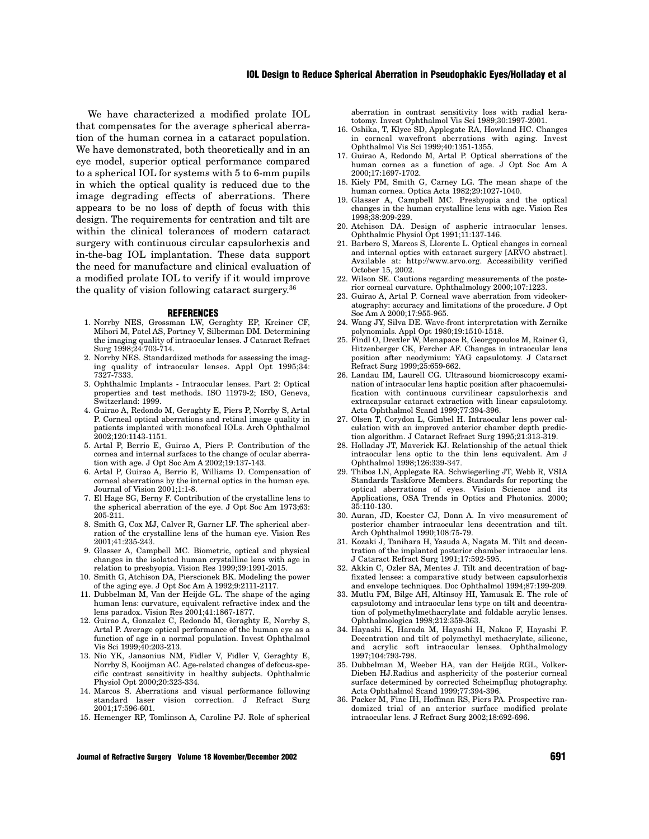We have characterized a modified prolate IOL that compensates for the average spherical aberration of the human cornea in a cataract population. We have demonstrated, both theoretically and in an eye model, superior optical performance compared to a spherical IOL for systems with 5 to 6-mm pupils in which the optical quality is reduced due to the image degrading effects of aberrations. There appears to be no loss of depth of focus with this design. The requirements for centration and tilt are within the clinical tolerances of modern cataract surgery with continuous circular capsulorhexis and in-the-bag IOL implantation. These data support the need for manufacture and clinical evaluation of a modified prolate IOL to verify if it would improve the quality of vision following cataract surgery.36

#### **REFERENCES**

- 1. Norrby NES, Grossman LW, Geraghty EP, Kreiner CF, Mihori M, Patel AS, Portney V, Silberman DM. Determining the imaging quality of intraocular lenses. J Cataract Refract Surg 1998;24:703-714.
- 2. Norrby NES. Standardized methods for assessing the imaging quality of intraocular lenses. Appl Opt 1995;34: 7327-7333.
- 3. Ophthalmic Implants Intraocular lenses. Part 2: Optical properties and test methods. ISO 11979-2; ISO, Geneva, Switzerland: 1999.
- 4. Guirao A, Redondo M, Geraghty E, Piers P, Norrby S, Artal P. Corneal optical aberrations and retinal image quality in patients implanted with monofocal IOLs. Arch Ophthalmol 2002;120:1143-1151.
- 5. Artal P, Berrio E, Guirao A, Piers P. Contribution of the cornea and internal surfaces to the change of ocular aberration with age. J Opt Soc Am A 2002;19:137-143.
- 6. Artal P, Guirao A, Berrio E, Williams D. Compensation of corneal aberrations by the internal optics in the human eye. Journal of Vision 2001;1:1-8.
- 7. El Hage SG, Berny F. Contribution of the crystalline lens to the spherical aberration of the eye. J Opt Soc Am 1973;63: 205-211.
- 8. Smith G, Cox MJ, Calver R, Garner LF. The spherical aberration of the crystalline lens of the human eye. Vision Res 2001;41:235-243.
- 9. Glasser A, Campbell MC. Biometric, optical and physical changes in the isolated human crystalline lens with age in relation to presbyopia. Vision Res 1999;39:1991-2015.
- 10. Smith G, Atchison DA, Pierscionek BK. Modeling the power of the aging eye. J Opt Soc Am A 1992;9:2111-2117.
- 11. Dubbelman M, Van der Heijde GL. The shape of the aging human lens: curvature, equivalent refractive index and the lens paradox. Vision Res 2001;41:1867-1877.
- 12. Guirao A, Gonzalez C, Redondo M, Geraghty E, Norrby S, Artal P. Average optical performance of the human eye as a function of age in a normal population. Invest Ophthalmol Vis Sci 1999;40:203-213.
- 13. Nio YK, Jansonius NM, Fidler V, Fidler V, Geraghty E, Norrby S, Kooijman AC. Age-related changes of defocus-specific contrast sensitivity in healthy subjects. Ophthalmic Physiol Opt 2000;20:323-334.
- 14. Marcos S. Aberrations and visual performance following standard laser vision correction. J Refract Surg 2001;17:596-601.
- 15. Hemenger RP, Tomlinson A, Caroline PJ. Role of spherical

aberration in contrast sensitivity loss with radial keratotomy. Invest Ophthalmol Vis Sci 1989;30:1997-2001.

- 16. Oshika, T, Klyce SD, Applegate RA, Howland HC. Changes in corneal wavefront aberrations with aging. Invest Ophthalmol Vis Sci 1999;40:1351-1355.
- 17. Guirao A, Redondo M, Artal P. Optical aberrations of the human cornea as a function of age. J Opt Soc Am A 2000;17:1697-1702.
- 18. Kiely PM, Smith G, Carney LG. The mean shape of the human cornea. Optica Acta 1982;29:1027-1040.
- 19. Glasser A, Campbell MC. Presbyopia and the optical changes in the human crystalline lens with age. Vision Res 1998;38:209-229.
- 20. Atchison DA. Design of aspheric intraocular lenses. Ophthalmic Physiol Opt 1991;11:137-146.
- 21. Barbero S, Marcos S, Llorente L. Optical changes in corneal and internal optics with cataract surgery [ARVO abstract]. Available at: http://www.arvo.org. Accessibility verified October 15, 2002.
- 22. Wilson SE. Cautions regarding measurements of the posterior corneal curvature. Ophthalmology 2000;107:1223.
- 23. Guirao A, Artal P. Corneal wave aberration from videokeratography: accuracy and limitations of the procedure. J Opt  $\overline{\text{Soc }} \text{Am } \text{A} 2000$ ;17:955-965.
- 24. Wang JY, Silva DE. Wave-front interpretation with Zernike polynomials. Appl Opt 1980;19:1510-1518.
- 25. Findl O, Drexler W, Menapace R, Georgopoulos M, Rainer G, Hitzenberger CK, Fercher AF. Changes in intraocular lens position after neodymium: YAG capsulotomy. J Cataract Refract Surg 1999;25:659-662.
- 26. Landau IM, Laurell CG. Ultrasound biomicroscopy examination of intraocular lens haptic position after phacoemulsification with continuous curvilinear capsulorhexis and extracapsular cataract extraction with linear capsulotomy. Acta Ophthalmol Scand 1999;77:394-396.
- 27. Olsen T, Corydon L, Gimbel H. Intraocular lens power calculation with an improved anterior chamber depth prediction algorithm. J Cataract Refract Surg 1995;21:313-319.
- 28. Holladay JT, Maverick KJ. Relationship of the actual thick intraocular lens optic to the thin lens equivalent. Am J Ophthalmol 1998;126:339-347.
- 29. Thibos LN, Applegate RA. Schwiegerling JT, Webb R, VSIA Standards Taskforce Members. Standards for reporting the optical aberrations of eyes. Vision Science and its Applications, OSA Trends in Optics and Photonics. 2000; 35:110-130.
- 30. Auran, JD, Koester CJ, Donn A. In vivo measurement of posterior chamber intraocular lens decentration and tilt. Arch Ophthalmol 1990;108:75-79.
- 31. Kozaki J, Tanihara H, Yasuda A, Nagata M. Tilt and decentration of the implanted posterior chamber intraocular lens. J Cataract Refract Surg 1991;17:592-595.
- 32. Akkin C, Ozler SA, Mentes J. Tilt and decentration of bagfixated lenses: a comparative study between capsulorhexis and envelope techniques. Doc Ophthalmol 1994;87:199-209.
- 33. Mutlu FM, Bilge AH, Altinsoy HI, Yamusak E. The role of capsulotomy and intraocular lens type on tilt and decentration of polymethylmethacrylate and foldable acrylic lenses. Ophthalmologica 1998;212:359-363.
- 34. Hayashi K, Harada M, Hayashi H, Nakao F, Hayashi F. Decentration and tilt of polymethyl methacrylate, silicone, and acrylic soft intraocular lenses. Ophthalmology 1997;104:793-798.
- 35. Dubbelman M, Weeber HA, van der Heijde RGL, Volker-Dieben HJ.Radius and asphericity of the posterior corneal surface determined by corrected Scheimpflug photography. Acta Ophthalmol Scand 1999;77:394-396.
- 36. Packer M, Fine IH, Hoffman RS, Piers PA. Prospective randomized trial of an anterior surface modified prolate intraocular lens. J Refract Surg 2002;18:692-696.